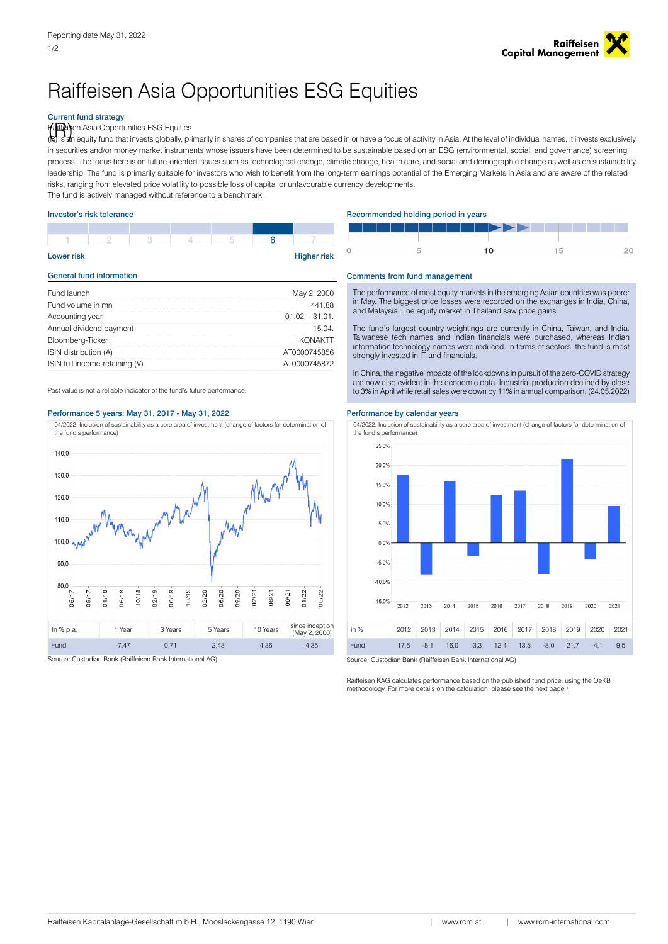# Raiffeisen Asia Opportunities ESG Equities

# Current fund strategy

rfa<sup>iffe</sup>isen Asia Opportunities ESG Equities<br>(R) is an equity fund that invests globally, pr

is an equity fund that invests globally, primarily in shares of companies that are based in or have a focus of activity in Asia. At the level of individual names, it invests exclusively in securities and/or money market instruments whose issuers have been determined to be sustainable based on an ESG (environmental, social, and governance) screening process. The focus here is on future-oriented issues such as technological change, climate change, health care, and social and demographic change as well as on sustainability leadership. The fund is primarily suitable for investors who wish to benefit from the long-term earnings potential of the Emerging Markets in Asia and are aware of the related risks, ranging from elevated price volatility to possible loss of capital or unfavourable currency developments.

The fund is actively managed without reference to a benchmark.

| <b>Higher risk</b><br><b>Lower risk</b> |  |  |  |  |  |  |  |  |
|-----------------------------------------|--|--|--|--|--|--|--|--|
|                                         |  |  |  |  |  |  |  |  |
|                                         |  |  |  |  |  |  |  |  |

| Fund launch                    | May 2, 2000       | The performance of most equity markets in the emerging Asian countries was poore                                                                 |  |  |
|--------------------------------|-------------------|--------------------------------------------------------------------------------------------------------------------------------------------------|--|--|
| Fund volume in mn              | 441.88            | in May. The biggest price losses were recorded on the exchanges in India, China.<br>and Malaysia. The equity market in Thailand saw price gains. |  |  |
| Accounting year                | $01.02 - 31.01$ . |                                                                                                                                                  |  |  |
| Annual dividend payment        | 15.04.            | The fund's largest country weightings are currently in China, Taiwan, and India.                                                                 |  |  |
| Bloomberg-Ticker               | <b>KONAKTT</b>    | Taiwanese tech names and Indian financials were purchased, whereas Indian                                                                        |  |  |
| ISIN distribution (A)          | AT0000745856      | information technology names were reduced. In terms of sectors, the fund is most<br>strongly invested in IT and financials.                      |  |  |
| ISIN full income-retaining (V) | AT0000745872      |                                                                                                                                                  |  |  |
|                                |                   | In China, the people's important the leakdowns in pure it of the pers. COMD strategy                                                             |  |  |

# Performance 5 years: May 31, 2017 - May 31, 2022 Performance by calendar vears

04/2022: Inclusion of sustainability as a core area of investment (change of factors for determination of the fund's performance)



Source: Custodian Bank (Raiffeisen Bank International AG) Source: Custodian Bank (Raiffeisen Bank International AG)

## Investor's risk tolerance **Recommended holding period in years** Recommended holding period in years

|  | ███████████▛▞▞▕▕▕▏▏▊▊█▐▏ |  |
|--|--------------------------|--|
|  |                          |  |
|  |                          |  |

### General fund information Comments from fund management

In China, the negative impacts of the lockdowns in pursuit of the zero-COVID strategy are now also evident in the economic data. Industrial production declined by close Past value is not a reliable indicator of the fund's future performance.<br>  $\frac{1}{2}$  is not a reliable indicator of the fund's future performance.<br>  $\frac{1}{2}$  is not a reliable indicator of the fund's future performance.

04/2022: Inclusion of sustainability as a core area of investment (change of factors for determination of the fund's performance)



Raiffeisen KAG calculates performance based on the published fund price, using the OeKB methodology. For more details on the calculation, please see the next page